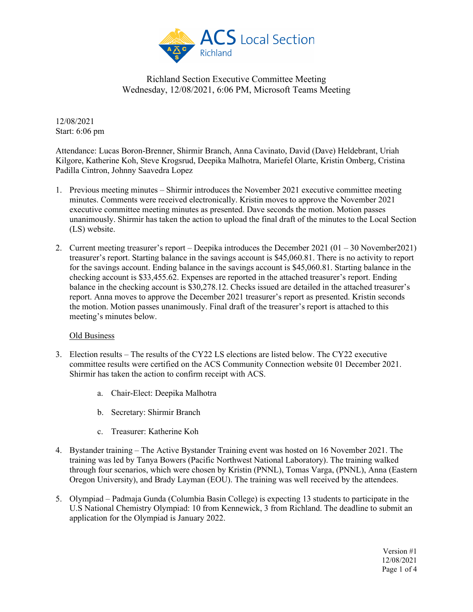

12/08/2021 Start: 6:06 pm

Attendance: Lucas Boron-Brenner, Shirmir Branch, Anna Cavinato, David (Dave) Heldebrant, Uriah Kilgore, Katherine Koh, Steve Krogsrud, Deepika Malhotra, Mariefel Olarte, Kristin Omberg, Cristina Padilla Cintron, Johnny Saavedra Lopez

- 1. Previous meeting minutes Shirmir introduces the November 2021 executive committee meeting minutes. Comments were received electronically. Kristin moves to approve the November 2021 executive committee meeting minutes as presented. Dave seconds the motion. Motion passes unanimously. Shirmir has taken the action to upload the final draft of the minutes to the Local Section (LS) website.
- 2. Current meeting treasurer's report Deepika introduces the December 2021 (01 30 November2021) treasurer's report. Starting balance in the savings account is \$45,060.81. There is no activity to report for the savings account. Ending balance in the savings account is \$45,060.81. Starting balance in the checking account is \$33,455.62. Expenses are reported in the attached treasurer's report. Ending balance in the checking account is \$30,278.12. Checks issued are detailed in the attached treasurer's report. Anna moves to approve the December 2021 treasurer's report as presented. Kristin seconds the motion. Motion passes unanimously. Final draft of the treasurer's report is attached to this meeting's minutes below.

#### Old Business

- 3. Election results The results of the CY22 LS elections are listed below. The CY22 executive committee results were certified on the ACS Community Connection website 01 December 2021. Shirmir has taken the action to confirm receipt with ACS.
	- a. Chair-Elect: Deepika Malhotra
	- b. Secretary: Shirmir Branch
	- c. Treasurer: Katherine Koh
- 4. Bystander training The Active Bystander Training event was hosted on 16 November 2021. The training was led by Tanya Bowers (Pacific Northwest National Laboratory). The training walked through four scenarios, which were chosen by Kristin (PNNL), Tomas Varga, (PNNL), Anna (Eastern Oregon University), and Brady Layman (EOU). The training was well received by the attendees.
- 5. Olympiad Padmaja Gunda (Columbia Basin College) is expecting 13 students to participate in the U.S National Chemistry Olympiad: 10 from Kennewick, 3 from Richland. The deadline to submit an application for the Olympiad is January 2022.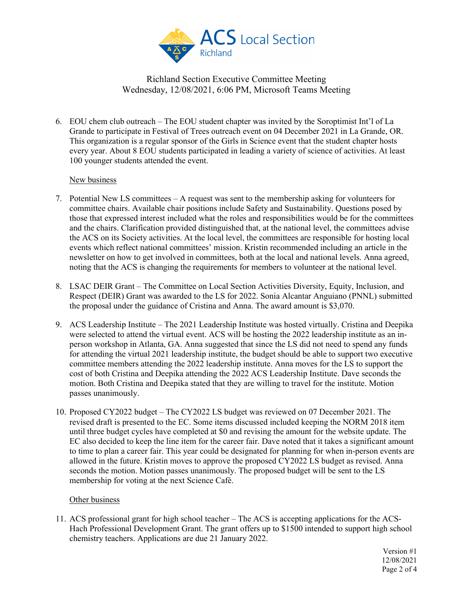

6. EOU chem club outreach – The EOU student chapter was invited by the Soroptimist Int'l of La Grande to participate in Festival of Trees outreach event on 04 December 2021 in La Grande, OR. This organization is a regular sponsor of the Girls in Science event that the student chapter hosts every year. About 8 EOU students participated in leading a variety of science of activities. At least 100 younger students attended the event.

#### New business

- 7. Potential New LS committees A request was sent to the membership asking for volunteers for committee chairs. Available chair positions include Safety and Sustainability. Questions posed by those that expressed interest included what the roles and responsibilities would be for the committees and the chairs. Clarification provided distinguished that, at the national level, the committees advise the ACS on its Society activities. At the local level, the committees are responsible for hosting local events which reflect national committees' mission. Kristin recommended including an article in the newsletter on how to get involved in committees, both at the local and national levels. Anna agreed, noting that the ACS is changing the requirements for members to volunteer at the national level.
- 8. LSAC DEIR Grant The Committee on Local Section Activities Diversity, Equity, Inclusion, and Respect (DEIR) Grant was awarded to the LS for 2022. Sonia Alcantar Anguiano (PNNL) submitted the proposal under the guidance of Cristina and Anna. The award amount is \$3,070.
- 9. ACS Leadership Institute The 2021 Leadership Institute was hosted virtually. Cristina and Deepika were selected to attend the virtual event. ACS will be hosting the 2022 leadership institute as an inperson workshop in Atlanta, GA. Anna suggested that since the LS did not need to spend any funds for attending the virtual 2021 leadership institute, the budget should be able to support two executive committee members attending the 2022 leadership institute. Anna moves for the LS to support the cost of both Cristina and Deepika attending the 2022 ACS Leadership Institute. Dave seconds the motion. Both Cristina and Deepika stated that they are willing to travel for the institute. Motion passes unanimously.
- 10. Proposed CY2022 budget The CY2022 LS budget was reviewed on 07 December 2021. The revised draft is presented to the EC. Some items discussed included keeping the NORM 2018 item until three budget cycles have completed at \$0 and revising the amount for the website update. The EC also decided to keep the line item for the career fair. Dave noted that it takes a significant amount to time to plan a career fair. This year could be designated for planning for when in-person events are allowed in the future. Kristin moves to approve the proposed CY2022 LS budget as revised. Anna seconds the motion. Motion passes unanimously. The proposed budget will be sent to the LS membership for voting at the next Science Café.

#### Other business

11. ACS professional grant for high school teacher – The ACS is accepting applications for the ACS-Hach Professional Development Grant. The grant offers up to \$1500 intended to support high school chemistry teachers. Applications are due 21 January 2022.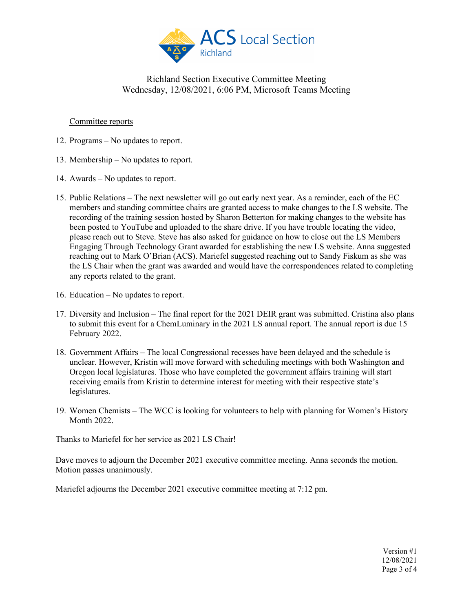

#### Committee reports

- 12. Programs No updates to report.
- 13. Membership No updates to report.
- 14. Awards No updates to report.
- 15. Public Relations The next newsletter will go out early next year. As a reminder, each of the EC members and standing committee chairs are granted access to make changes to the LS website. The recording of the training session hosted by Sharon Betterton for making changes to the website has been posted to YouTube and uploaded to the share drive. If you have trouble locating the video, please reach out to Steve. Steve has also asked for guidance on how to close out the LS Members Engaging Through Technology Grant awarded for establishing the new LS website. Anna suggested reaching out to Mark O'Brian (ACS). Mariefel suggested reaching out to Sandy Fiskum as she was the LS Chair when the grant was awarded and would have the correspondences related to completing any reports related to the grant.
- 16. Education No updates to report.
- 17. Diversity and Inclusion The final report for the 2021 DEIR grant was submitted. Cristina also plans to submit this event for a ChemLuminary in the 2021 LS annual report. The annual report is due 15 February 2022.
- 18. Government Affairs The local Congressional recesses have been delayed and the schedule is unclear. However, Kristin will move forward with scheduling meetings with both Washington and Oregon local legislatures. Those who have completed the government affairs training will start receiving emails from Kristin to determine interest for meeting with their respective state's legislatures.
- 19. Women Chemists The WCC is looking for volunteers to help with planning for Women's History Month 2022.

Thanks to Mariefel for her service as 2021 LS Chair!

Dave moves to adjourn the December 2021 executive committee meeting. Anna seconds the motion. Motion passes unanimously.

Mariefel adjourns the December 2021 executive committee meeting at 7:12 pm.